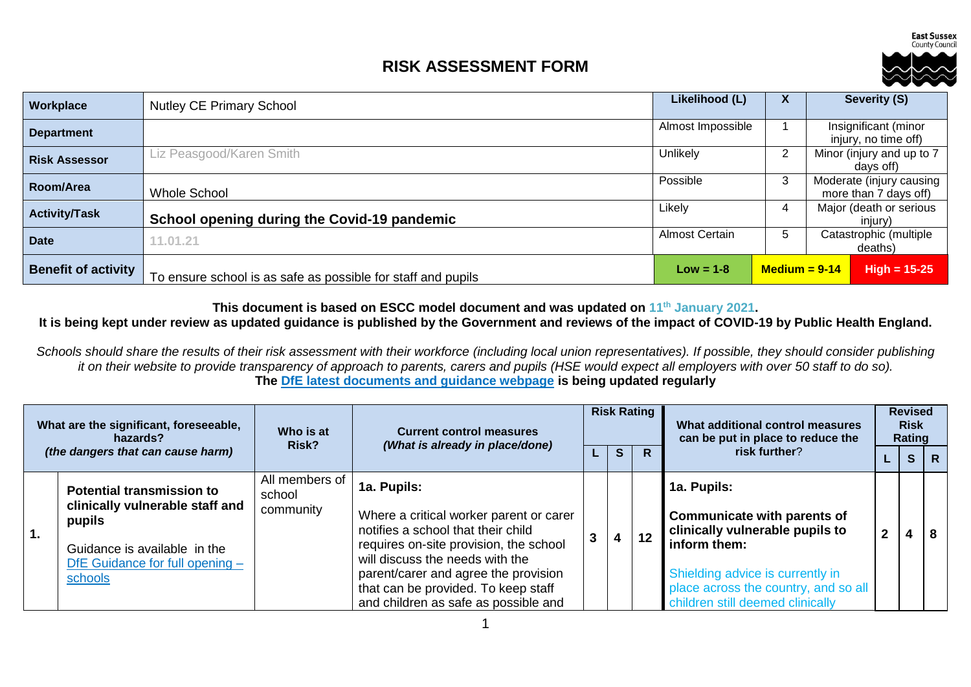**East Sussex** County Council

## **RISK ASSESSMENT FORM**



| Workplace                  | <b>Nutley CE Primary School</b>                              | Likelihood (L)        | $\mathbf{v}$    | Severity (S)                                 |                                                   |
|----------------------------|--------------------------------------------------------------|-----------------------|-----------------|----------------------------------------------|---------------------------------------------------|
| <b>Department</b>          |                                                              | Almost Impossible     |                 | Insignificant (minor<br>injury, no time off) |                                                   |
| <b>Risk Assessor</b>       | Liz Peasgood/Karen Smith                                     | Unlikely              | $\overline{2}$  |                                              | Minor (injury and up to 7<br>davs off)            |
| Room/Area                  | <b>Whole School</b>                                          | Possible              | 3               |                                              | Moderate (injury causing<br>more than 7 days off) |
| <b>Activity/Task</b>       | School opening during the Covid-19 pandemic                  | Likely                | 4               |                                              | Major (death or serious<br>injury)                |
| <b>Date</b>                | 11.01.21                                                     | <b>Almost Certain</b> | b               |                                              | Catastrophic (multiple<br>deaths)                 |
| <b>Benefit of activity</b> | To ensure school is as safe as possible for staff and pupils | $Low = 1-8$           | $Median = 9-14$ |                                              | $High = 15-25$                                    |

**This document is based on ESCC model document and was updated on 11th January 2021.**

## **It is being kept under review as updated guidance is published by the Government and reviews of the impact of COVID-19 by Public Health England.**

*Schools should share the results of their risk assessment with their workforce (including local union representatives). If possible, they should consider publishing it on their website to provide transparency of approach to parents, carers and pupils (HSE would expect all employers with over 50 staff to do so).* **The [DfE latest documents and guidance webpage](https://www.gov.uk/government/latest?departments%5B%5D=department-for-education) is being updated regularly**

| What are the significant, foreseeable,<br>hazards?<br>(the dangers that can cause harm) |                                                                 | Who is at<br>Risk?       | <b>Current control measures</b><br>(What is already in place/done)            | <b>Risk Rating</b><br>can be put in place to reduce the |    | What additional control measures |                                                                       | <b>Revised</b><br><b>Risk</b><br>Rating |                |   |
|-----------------------------------------------------------------------------------------|-----------------------------------------------------------------|--------------------------|-------------------------------------------------------------------------------|---------------------------------------------------------|----|----------------------------------|-----------------------------------------------------------------------|-----------------------------------------|----------------|---|
|                                                                                         |                                                                 |                          |                                                                               |                                                         | S. | R                                | risk further?                                                         |                                         | S <sub>1</sub> | R |
|                                                                                         | <b>Potential transmission to</b>                                | All members of<br>school | 1a. Pupils:                                                                   |                                                         |    |                                  | 1a. Pupils:                                                           |                                         |                |   |
| $\overline{1}$ .                                                                        | clinically vulnerable staff and<br>pupils                       | community                | Where a critical worker parent or carer<br>notifies a school that their child |                                                         |    |                                  | <b>Communicate with parents of</b><br>clinically vulnerable pupils to | 2                                       |                |   |
|                                                                                         | Guidance is available in the<br>DfE Guidance for full opening - |                          | requires on-site provision, the school<br>will discuss the needs with the     | 3                                                       | 4  | 12                               | inform them:                                                          |                                         |                |   |
|                                                                                         | schools                                                         |                          | parent/carer and agree the provision                                          |                                                         |    |                                  | Shielding advice is currently in                                      |                                         |                |   |
|                                                                                         |                                                                 |                          | that can be provided. To keep staff                                           |                                                         |    |                                  | place across the country, and so all                                  |                                         |                |   |
|                                                                                         |                                                                 |                          | and children as safe as possible and                                          |                                                         |    |                                  | children still deemed clinically                                      |                                         |                |   |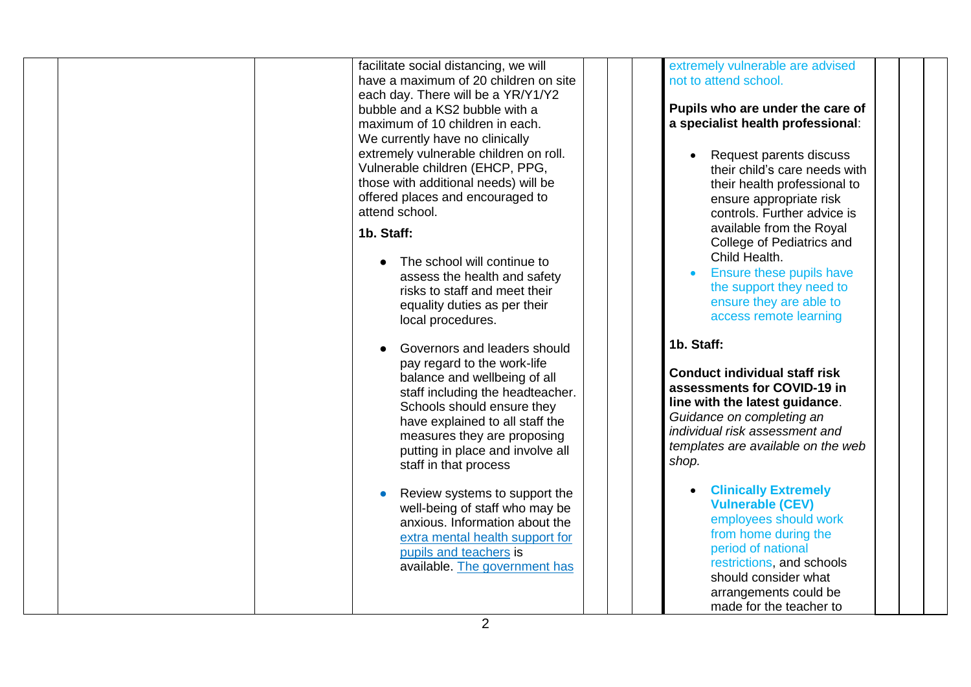| facilitate social distancing, we will<br>have a maximum of 20 children on site<br>each day. There will be a YR/Y1/Y2<br>bubble and a KS2 bubble with a<br>maximum of 10 children in each.<br>We currently have no clinically<br>extremely vulnerable children on roll.<br>Vulnerable children (EHCP, PPG,<br>those with additional needs) will be<br>offered places and encouraged to<br>attend school.<br>1b. Staff:<br>The school will continue to<br>assess the health and safety<br>risks to staff and meet their<br>equality duties as per their | extremely vulnerable are advised<br>not to attend school.<br>Pupils who are under the care of<br>a specialist health professional:<br>Request parents discuss<br>their child's care needs with<br>their health professional to<br>ensure appropriate risk<br>controls. Further advice is<br>available from the Royal<br>College of Pediatrics and<br>Child Health.<br>Ensure these pupils have<br>the support they need to<br>ensure they are able to                                                 |
|-------------------------------------------------------------------------------------------------------------------------------------------------------------------------------------------------------------------------------------------------------------------------------------------------------------------------------------------------------------------------------------------------------------------------------------------------------------------------------------------------------------------------------------------------------|-------------------------------------------------------------------------------------------------------------------------------------------------------------------------------------------------------------------------------------------------------------------------------------------------------------------------------------------------------------------------------------------------------------------------------------------------------------------------------------------------------|
| local procedures.<br>Governors and leaders should<br>pay regard to the work-life<br>balance and wellbeing of all<br>staff including the headteacher.<br>Schools should ensure they<br>have explained to all staff the<br>measures they are proposing<br>putting in place and involve all<br>staff in that process<br>Review systems to support the<br>well-being of staff who may be<br>anxious. Information about the<br>extra mental health support for<br>pupils and teachers is<br>available. The government has                                  | access remote learning<br>1b. Staff:<br><b>Conduct individual staff risk</b><br>assessments for COVID-19 in<br>line with the latest guidance.<br>Guidance on completing an<br>individual risk assessment and<br>templates are available on the web<br>shop.<br><b>Clinically Extremely</b><br><b>Vulnerable (CEV)</b><br>employees should work<br>from home during the<br>period of national<br>restrictions, and schools<br>should consider what<br>arrangements could be<br>made for the teacher to |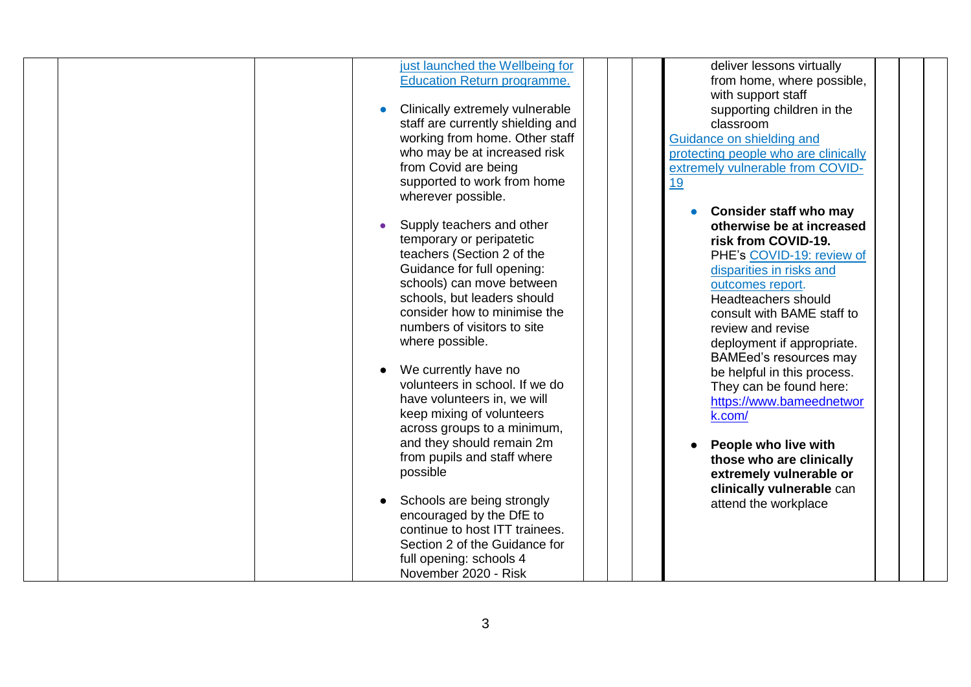| just launched the Wellbeing for    | deliver lessons virtually            |
|------------------------------------|--------------------------------------|
| <b>Education Return programme.</b> | from home, where possible,           |
|                                    | with support staff                   |
| Clinically extremely vulnerable    | supporting children in the           |
| staff are currently shielding and  | classroom                            |
| working from home. Other staff     | Guidance on shielding and            |
| who may be at increased risk       | protecting people who are clinically |
| from Covid are being               | extremely vulnerable from COVID-     |
| supported to work from home        | <u>19</u>                            |
| wherever possible.                 |                                      |
|                                    | <b>Consider staff who may</b>        |
| Supply teachers and other          | otherwise be at increased            |
| temporary or peripatetic           | risk from COVID-19.                  |
| teachers (Section 2 of the         | PHE's COVID-19: review of            |
| Guidance for full opening:         | disparities in risks and             |
| schools) can move between          |                                      |
| schools, but leaders should        | outcomes report.                     |
|                                    | Headteachers should                  |
| consider how to minimise the       | consult with BAME staff to           |
| numbers of visitors to site        | review and revise                    |
| where possible.                    | deployment if appropriate.           |
|                                    | <b>BAMEed's resources may</b>        |
| We currently have no               | be helpful in this process.          |
| volunteers in school. If we do     | They can be found here:              |
| have volunteers in, we will        | https://www.bameednetwor             |
| keep mixing of volunteers          | k.com/                               |
| across groups to a minimum,        |                                      |
| and they should remain 2m          | People who live with                 |
| from pupils and staff where        | those who are clinically             |
| possible                           | extremely vulnerable or              |
|                                    | clinically vulnerable can            |
| Schools are being strongly         | attend the workplace                 |
| encouraged by the DfE to           |                                      |
| continue to host ITT trainees.     |                                      |
| Section 2 of the Guidance for      |                                      |
| full opening: schools 4            |                                      |
|                                    |                                      |
| November 2020 - Risk               |                                      |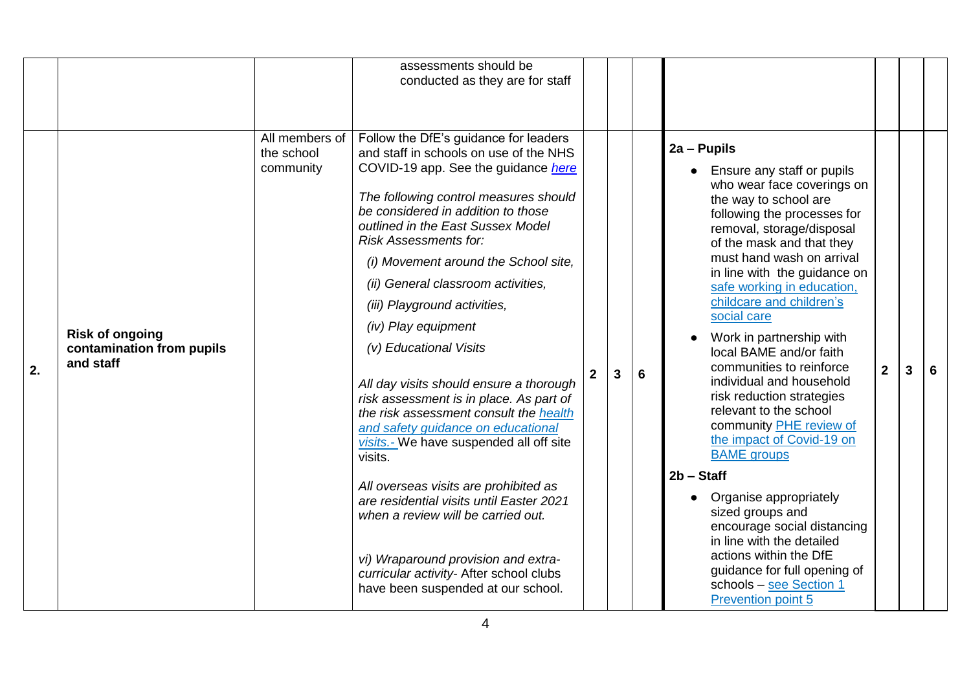|    |                                                                  |                                           | assessments should be<br>conducted as they are for staff                                                                                                                                                                                                                                                                                                                                                                                                                                                                                                                                                                                                                                                                                                                                                                                                                                                                 |                |   |   |                                                                                                                                                                                                                                                                                                                                                                                                                                                                                                                                                                                                                                                                                                                                                                                                                                 |                |   |
|----|------------------------------------------------------------------|-------------------------------------------|--------------------------------------------------------------------------------------------------------------------------------------------------------------------------------------------------------------------------------------------------------------------------------------------------------------------------------------------------------------------------------------------------------------------------------------------------------------------------------------------------------------------------------------------------------------------------------------------------------------------------------------------------------------------------------------------------------------------------------------------------------------------------------------------------------------------------------------------------------------------------------------------------------------------------|----------------|---|---|---------------------------------------------------------------------------------------------------------------------------------------------------------------------------------------------------------------------------------------------------------------------------------------------------------------------------------------------------------------------------------------------------------------------------------------------------------------------------------------------------------------------------------------------------------------------------------------------------------------------------------------------------------------------------------------------------------------------------------------------------------------------------------------------------------------------------------|----------------|---|
| 2. | <b>Risk of ongoing</b><br>contamination from pupils<br>and staff | All members of<br>the school<br>community | Follow the DfE's guidance for leaders<br>and staff in schools on use of the NHS<br>COVID-19 app. See the guidance here<br>The following control measures should<br>be considered in addition to those<br>outlined in the East Sussex Model<br><b>Risk Assessments for:</b><br>(i) Movement around the School site,<br>(ii) General classroom activities,<br>(iii) Playground activities,<br>(iv) Play equipment<br>(v) Educational Visits<br>All day visits should ensure a thorough<br>risk assessment is in place. As part of<br>the risk assessment consult the health<br>and safety guidance on educational<br>visits.- We have suspended all off site<br>visits.<br>All overseas visits are prohibited as<br>are residential visits until Easter 2021<br>when a review will be carried out.<br>vi) Wraparound provision and extra-<br>curricular activity- After school clubs<br>have been suspended at our school. | 2 <sup>1</sup> | 3 | 6 | 2a - Pupils<br>Ensure any staff or pupils<br>who wear face coverings on<br>the way to school are<br>following the processes for<br>removal, storage/disposal<br>of the mask and that they<br>must hand wash on arrival<br>in line with the guidance on<br>safe working in education,<br>childcare and children's<br>social care<br>Work in partnership with<br>local BAME and/or faith<br>communities to reinforce<br>individual and household<br>risk reduction strategies<br>relevant to the school<br>community PHE review of<br>the impact of Covid-19 on<br><b>BAME</b> groups<br>$2b - Start$<br>Organise appropriately<br>sized groups and<br>encourage social distancing<br>in line with the detailed<br>actions within the DfE<br>guidance for full opening of<br>schools - see Section 1<br><b>Prevention point 5</b> | $\overline{2}$ | 6 |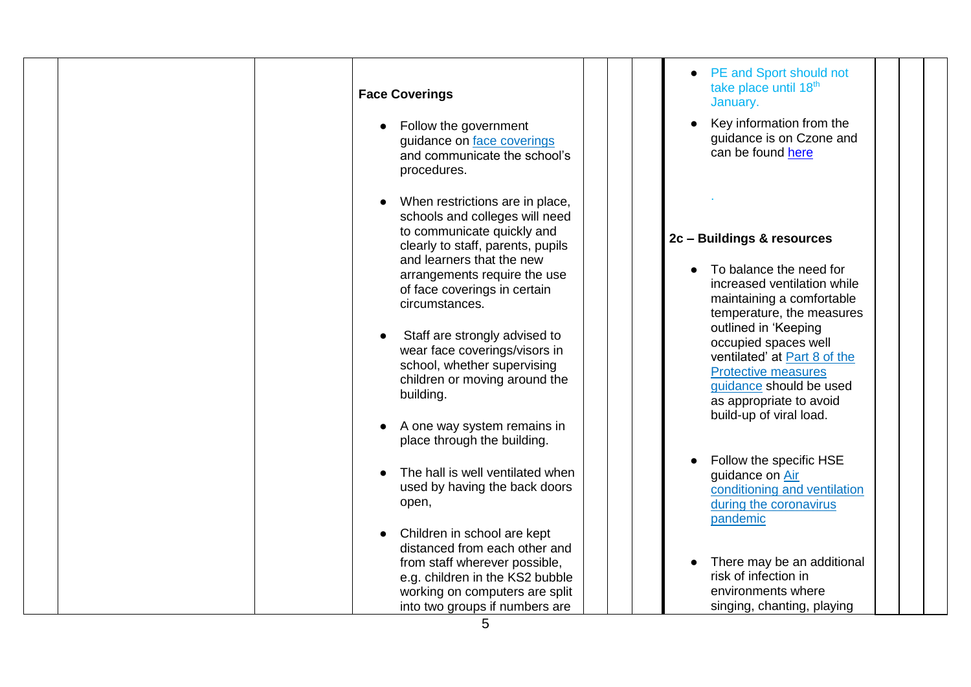| <b>Face Coverings</b><br>Follow the government<br>guidance on face coverings<br>and communicate the school's<br>procedures.                                                                                                                                                                                                                                                                                                                                      | PE and Sport should not<br>take place until 18th<br>January.<br>Key information from the<br>guidance is on Czone and<br>can be found here                                                                                                                                                                                                     |
|------------------------------------------------------------------------------------------------------------------------------------------------------------------------------------------------------------------------------------------------------------------------------------------------------------------------------------------------------------------------------------------------------------------------------------------------------------------|-----------------------------------------------------------------------------------------------------------------------------------------------------------------------------------------------------------------------------------------------------------------------------------------------------------------------------------------------|
| When restrictions are in place,<br>schools and colleges will need<br>to communicate quickly and<br>clearly to staff, parents, pupils<br>and learners that the new<br>arrangements require the use<br>of face coverings in certain<br>circumstances.<br>Staff are strongly advised to<br>wear face coverings/visors in<br>school, whether supervising<br>children or moving around the<br>building.<br>A one way system remains in<br>place through the building. | 2c - Buildings & resources<br>To balance the need for<br>increased ventilation while<br>maintaining a comfortable<br>temperature, the measures<br>outlined in 'Keeping<br>occupied spaces well<br>ventilated' at Part 8 of the<br><b>Protective measures</b><br>guidance should be used<br>as appropriate to avoid<br>build-up of viral load. |
| The hall is well ventilated when<br>used by having the back doors<br>open,<br>Children in school are kept<br>distanced from each other and<br>from staff wherever possible,<br>e.g. children in the KS2 bubble<br>working on computers are split<br>into two groups if numbers are                                                                                                                                                                               | Follow the specific HSE<br>guidance on Air<br>conditioning and ventilation<br>during the coronavirus<br>pandemic<br>There may be an additional<br>risk of infection in<br>environments where<br>singing, chanting, playing                                                                                                                    |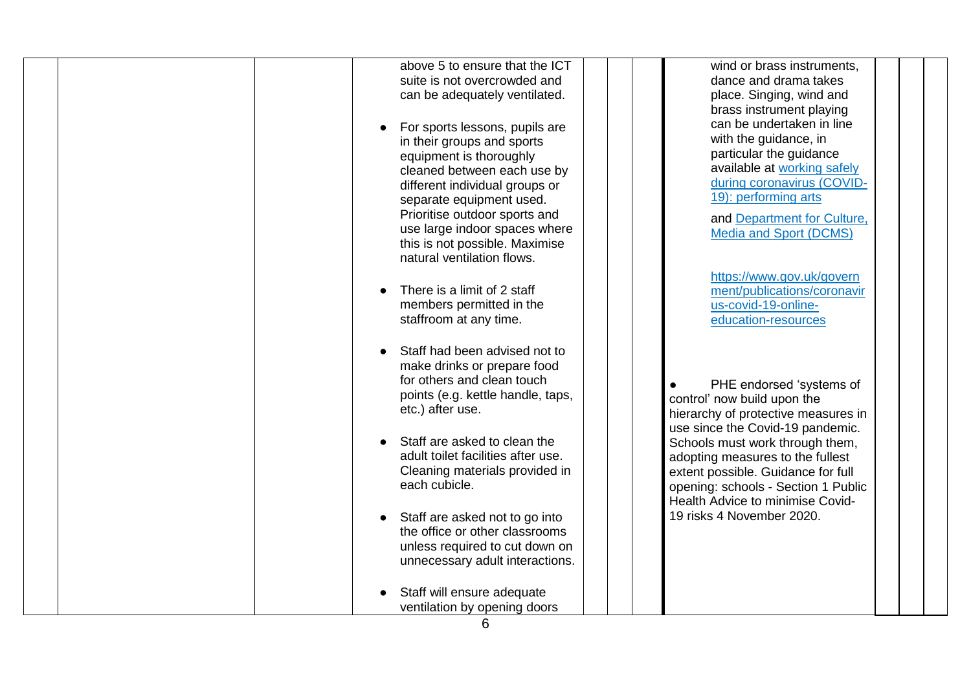| above 5 to ensure that the ICT     | wind or brass instruments.          |
|------------------------------------|-------------------------------------|
| suite is not overcrowded and       | dance and drama takes               |
| can be adequately ventilated.      | place. Singing, wind and            |
|                                    | brass instrument playing            |
| For sports lessons, pupils are     | can be undertaken in line           |
| in their groups and sports         | with the guidance, in               |
| equipment is thoroughly            | particular the guidance             |
| cleaned between each use by        | available at working safely         |
| different individual groups or     | during coronavirus (COVID-          |
| separate equipment used.           | 19): performing arts                |
| Prioritise outdoor sports and      | and Department for Culture,         |
| use large indoor spaces where      | <b>Media and Sport (DCMS)</b>       |
| this is not possible. Maximise     |                                     |
| natural ventilation flows.         |                                     |
|                                    | https://www.gov.uk/govern           |
| There is a limit of 2 staff        | ment/publications/coronavir         |
| members permitted in the           | us-covid-19-online-                 |
| staffroom at any time.             | education-resources                 |
|                                    |                                     |
| Staff had been advised not to      |                                     |
| make drinks or prepare food        |                                     |
| for others and clean touch         | PHE endorsed 'systems of            |
| points (e.g. kettle handle, taps,  | control' now build upon the         |
| etc.) after use.                   | hierarchy of protective measures in |
|                                    | use since the Covid-19 pandemic.    |
| Staff are asked to clean the       | Schools must work through them,     |
| adult toilet facilities after use. | adopting measures to the fullest    |
| Cleaning materials provided in     | extent possible. Guidance for full  |
| each cubicle.                      | opening: schools - Section 1 Public |
|                                    | Health Advice to minimise Covid-    |
| Staff are asked not to go into     | 19 risks 4 November 2020.           |
| the office or other classrooms     |                                     |
| unless required to cut down on     |                                     |
| unnecessary adult interactions.    |                                     |
|                                    |                                     |
| Staff will ensure adequate         |                                     |
| ventilation by opening doors       |                                     |
|                                    |                                     |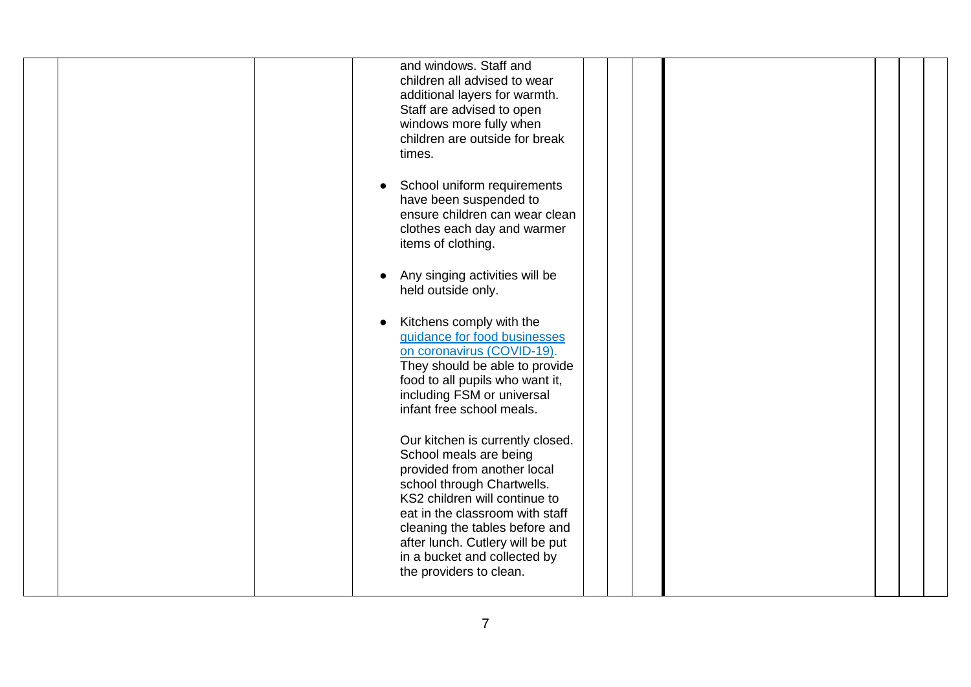| and windows. Staff and<br>children all advised to wear<br>additional layers for warmth.<br>Staff are advised to open<br>windows more fully when<br>children are outside for break<br>times.<br>School uniform requirements<br>have been suspended to<br>ensure children can wear clean<br>clothes each day and warmer<br>items of clothing.<br>Any singing activities will be<br>held outside only.<br>Kitchens comply with the<br>guidance for food businesses<br>on coronavirus (COVID-19).<br>They should be able to provide<br>food to all pupils who want it,<br>including FSM or universal<br>infant free school meals.<br>Our kitchen is currently closed.<br>School meals are being<br>provided from another local<br>school through Chartwells.<br>KS2 children will continue to |  |  |
|-------------------------------------------------------------------------------------------------------------------------------------------------------------------------------------------------------------------------------------------------------------------------------------------------------------------------------------------------------------------------------------------------------------------------------------------------------------------------------------------------------------------------------------------------------------------------------------------------------------------------------------------------------------------------------------------------------------------------------------------------------------------------------------------|--|--|
| eat in the classroom with staff<br>cleaning the tables before and<br>after lunch. Cutlery will be put<br>in a bucket and collected by<br>the providers to clean.                                                                                                                                                                                                                                                                                                                                                                                                                                                                                                                                                                                                                          |  |  |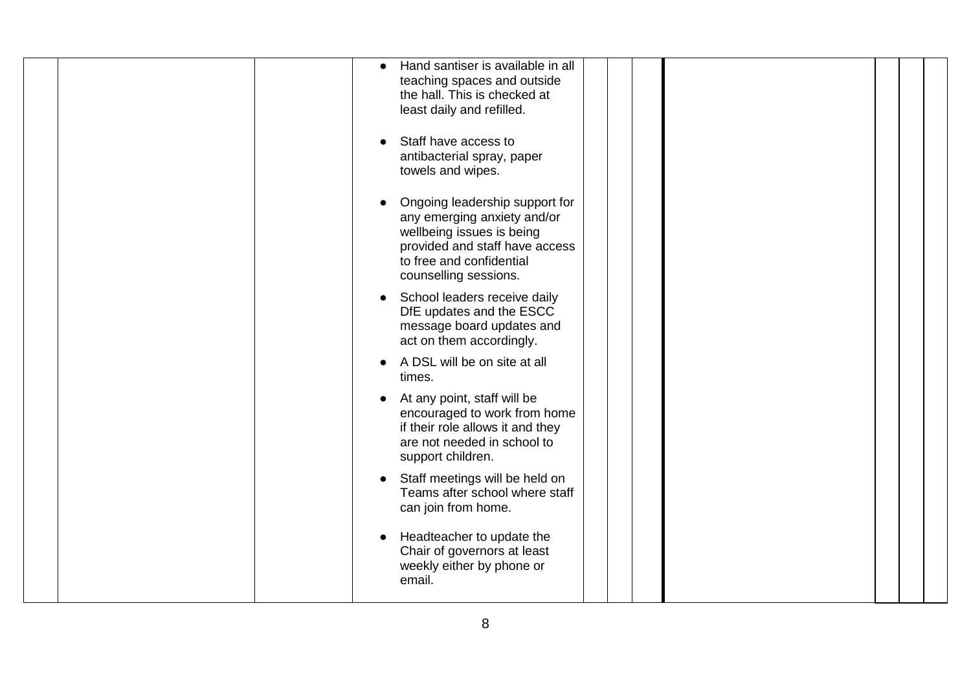| Hand santiser is available in all<br>$\bullet$<br>teaching spaces and outside<br>the hall. This is checked at<br>least daily and refilled.<br>Staff have access to<br>antibacterial spray, paper<br>towels and wipes. |
|-----------------------------------------------------------------------------------------------------------------------------------------------------------------------------------------------------------------------|
| Ongoing leadership support for<br>any emerging anxiety and/or<br>wellbeing issues is being<br>provided and staff have access<br>to free and confidential<br>counselling sessions.                                     |
| School leaders receive daily<br>DfE updates and the ESCC<br>message board updates and<br>act on them accordingly.                                                                                                     |
| A DSL will be on site at all<br>times.                                                                                                                                                                                |
| At any point, staff will be<br>$\bullet$<br>encouraged to work from home<br>if their role allows it and they<br>are not needed in school to<br>support children.                                                      |
| Staff meetings will be held on<br>$\bullet$<br>Teams after school where staff<br>can join from home.                                                                                                                  |
| Headteacher to update the<br>Chair of governors at least<br>weekly either by phone or<br>email.                                                                                                                       |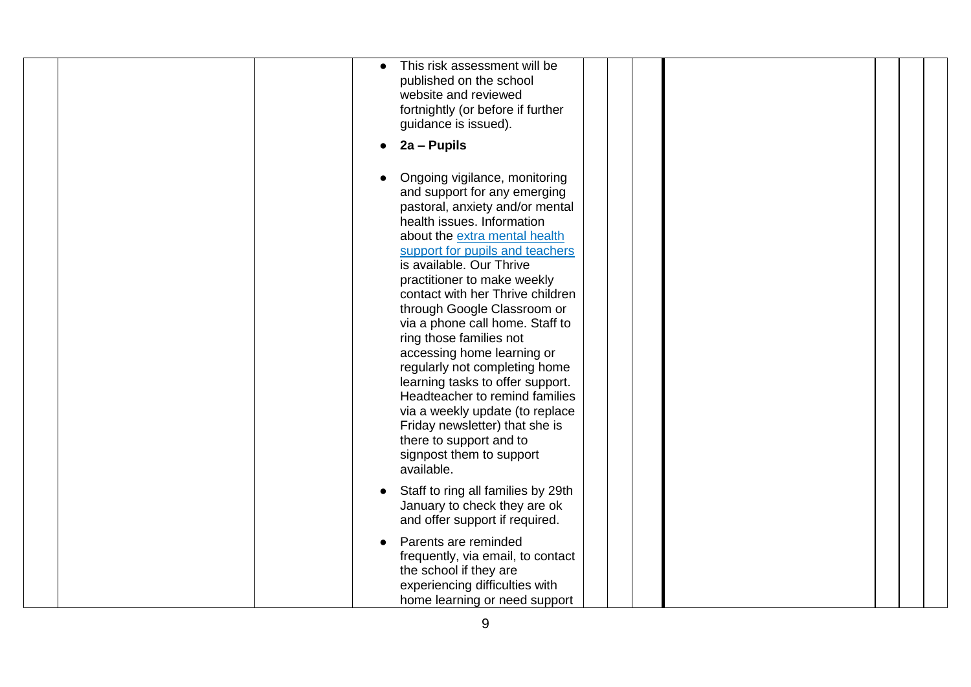| This risk assessment will be<br>published on the school<br>website and reviewed<br>fortnightly (or before if further<br>guidance is issued).<br>2a - Pupils                                                                                                                                                                                                                                                                                                                                                                                                                                                                                                                   |
|-------------------------------------------------------------------------------------------------------------------------------------------------------------------------------------------------------------------------------------------------------------------------------------------------------------------------------------------------------------------------------------------------------------------------------------------------------------------------------------------------------------------------------------------------------------------------------------------------------------------------------------------------------------------------------|
| Ongoing vigilance, monitoring<br>and support for any emerging<br>pastoral, anxiety and/or mental<br>health issues. Information<br>about the extra mental health<br>support for pupils and teachers<br>is available. Our Thrive<br>practitioner to make weekly<br>contact with her Thrive children<br>through Google Classroom or<br>via a phone call home. Staff to<br>ring those families not<br>accessing home learning or<br>regularly not completing home<br>learning tasks to offer support.<br>Headteacher to remind families<br>via a weekly update (to replace<br>Friday newsletter) that she is<br>there to support and to<br>signpost them to support<br>available. |
| Staff to ring all families by 29th<br>January to check they are ok<br>and offer support if required.                                                                                                                                                                                                                                                                                                                                                                                                                                                                                                                                                                          |
| Parents are reminded<br>frequently, via email, to contact<br>the school if they are<br>experiencing difficulties with<br>home learning or need support                                                                                                                                                                                                                                                                                                                                                                                                                                                                                                                        |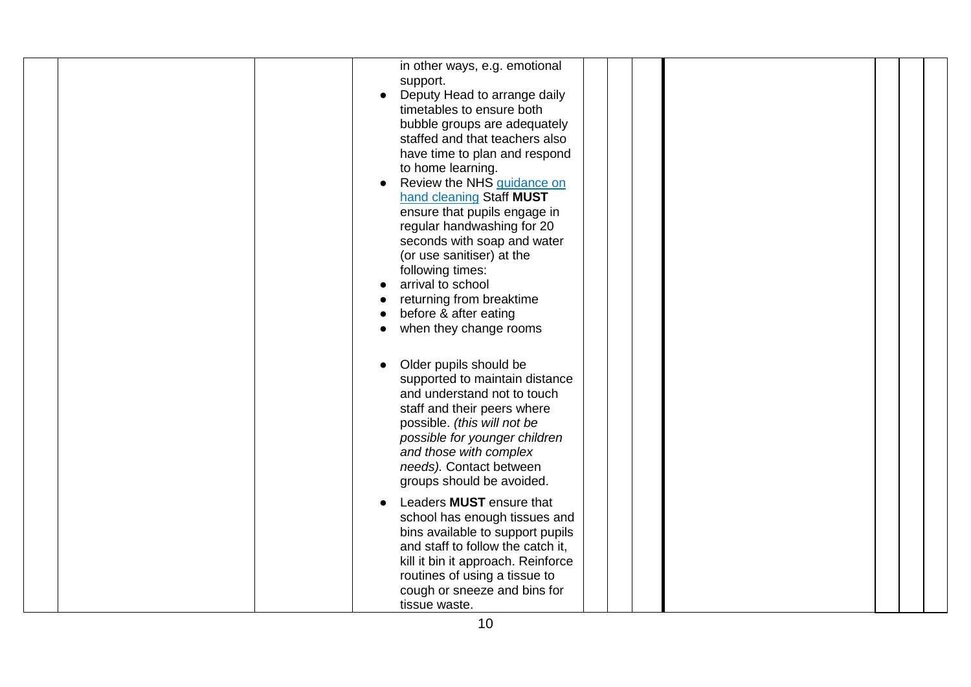|  | in other ways, e.g. emotional<br>support.                                                                                                                                                                                                                                                                                                                                                                                                                                                                  |
|--|------------------------------------------------------------------------------------------------------------------------------------------------------------------------------------------------------------------------------------------------------------------------------------------------------------------------------------------------------------------------------------------------------------------------------------------------------------------------------------------------------------|
|  | Deputy Head to arrange daily<br>timetables to ensure both<br>bubble groups are adequately<br>staffed and that teachers also<br>have time to plan and respond<br>to home learning.<br>Review the NHS guidance on<br>hand cleaning Staff MUST<br>ensure that pupils engage in<br>regular handwashing for 20<br>seconds with soap and water<br>(or use sanitiser) at the<br>following times:<br>arrival to school<br>returning from breaktime<br>before & after eating<br>when they change rooms<br>$\bullet$ |
|  | Older pupils should be<br>supported to maintain distance<br>and understand not to touch<br>staff and their peers where<br>possible. (this will not be<br>possible for younger children<br>and those with complex<br>needs). Contact between<br>groups should be avoided.                                                                                                                                                                                                                                   |
|  | Leaders <b>MUST</b> ensure that<br>school has enough tissues and<br>bins available to support pupils<br>and staff to follow the catch it,<br>kill it bin it approach. Reinforce<br>routines of using a tissue to<br>cough or sneeze and bins for<br>tissue waste.                                                                                                                                                                                                                                          |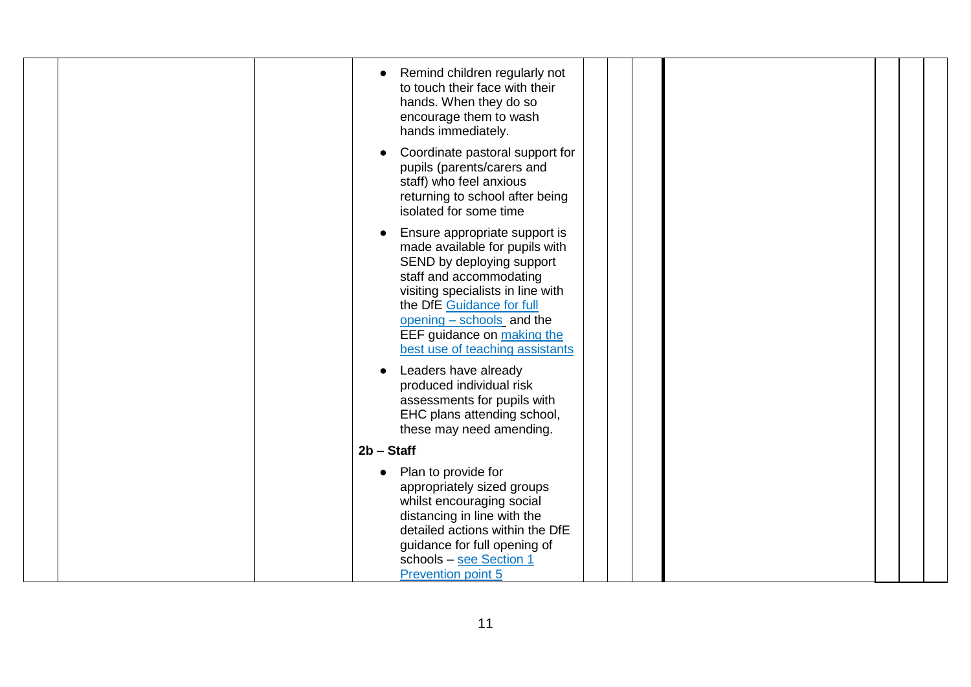| Remind children regularly not<br>to touch their face with their<br>hands. When they do so<br>encourage them to wash<br>hands immediately.                                                                                                                                               |  |  |
|-----------------------------------------------------------------------------------------------------------------------------------------------------------------------------------------------------------------------------------------------------------------------------------------|--|--|
| Coordinate pastoral support for<br>pupils (parents/carers and<br>staff) who feel anxious<br>returning to school after being<br>isolated for some time                                                                                                                                   |  |  |
| Ensure appropriate support is<br>made available for pupils with<br>SEND by deploying support<br>staff and accommodating<br>visiting specialists in line with<br>the DfE Guidance for full<br>opening - schools and the<br>EEF guidance on making the<br>best use of teaching assistants |  |  |
| Leaders have already<br>produced individual risk<br>assessments for pupils with<br>EHC plans attending school,<br>these may need amending.                                                                                                                                              |  |  |
| $2b - Staff$                                                                                                                                                                                                                                                                            |  |  |
| Plan to provide for<br>appropriately sized groups<br>whilst encouraging social<br>distancing in line with the<br>detailed actions within the DfE<br>guidance for full opening of<br>schools - see Section 1<br><b>Prevention point 5</b>                                                |  |  |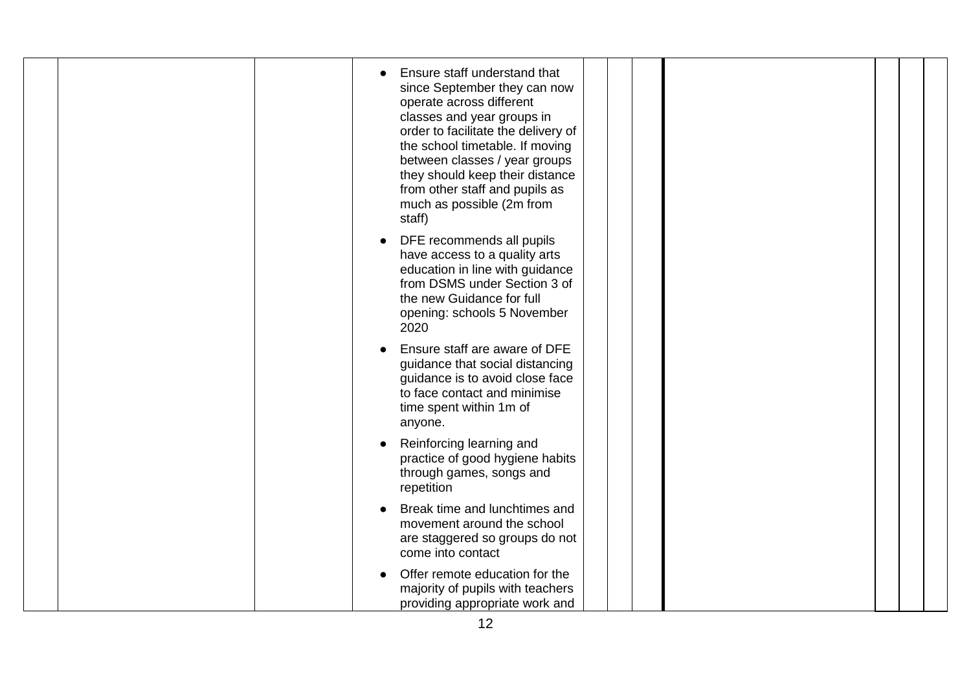| Ensure staff are aware of DFE<br>guidance that social distancing<br>guidance is to avoid close face<br>to face contact and minimise<br>time spent within 1m of<br>anyone.<br>Reinforcing learning and<br>practice of good hygiene habits<br>through games, songs and<br>repetition<br>Break time and lunchtimes and | Ensure staff understand that<br>since September they can now<br>operate across different<br>classes and year groups in<br>order to facilitate the delivery of<br>the school timetable. If moving<br>between classes / year groups<br>they should keep their distance<br>from other staff and pupils as<br>much as possible (2m from<br>staff)<br>DFE recommends all pupils<br>have access to a quality arts<br>education in line with guidance<br>from DSMS under Section 3 of<br>the new Guidance for full<br>opening: schools 5 November |  |  |
|---------------------------------------------------------------------------------------------------------------------------------------------------------------------------------------------------------------------------------------------------------------------------------------------------------------------|--------------------------------------------------------------------------------------------------------------------------------------------------------------------------------------------------------------------------------------------------------------------------------------------------------------------------------------------------------------------------------------------------------------------------------------------------------------------------------------------------------------------------------------------|--|--|
|                                                                                                                                                                                                                                                                                                                     | 2020                                                                                                                                                                                                                                                                                                                                                                                                                                                                                                                                       |  |  |
| are staggered so groups do not<br>come into contact<br>Offer remote education for the                                                                                                                                                                                                                               | movement around the school                                                                                                                                                                                                                                                                                                                                                                                                                                                                                                                 |  |  |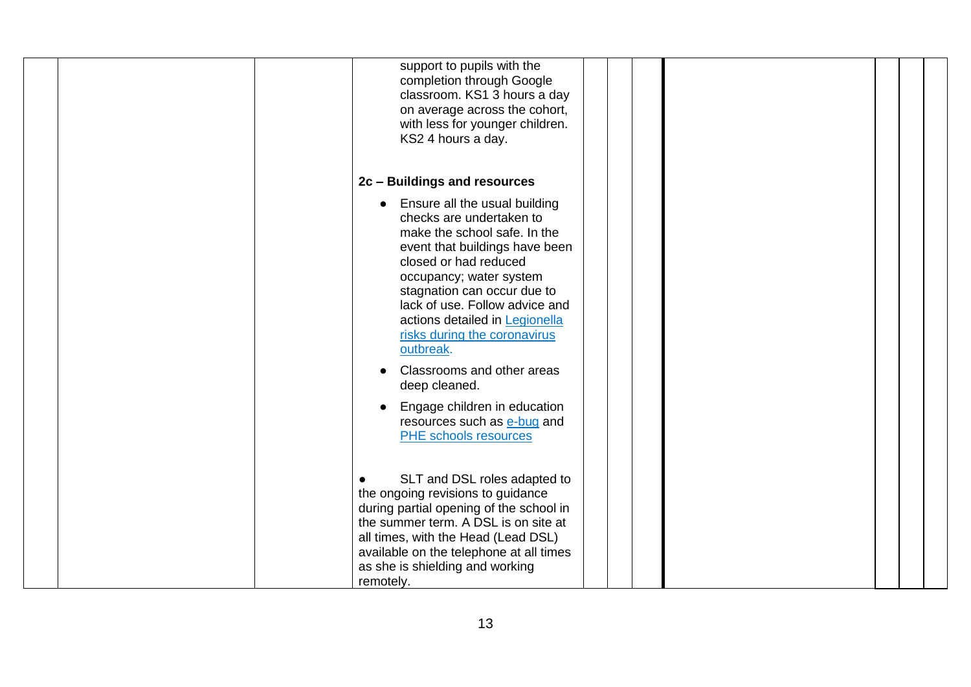|  | support to pupils with the<br>completion through Google<br>classroom. KS1 3 hours a day<br>on average across the cohort,<br>with less for younger children.<br>KS2 4 hours a day.                                                                                                                                                                                              |  |  |  |
|--|--------------------------------------------------------------------------------------------------------------------------------------------------------------------------------------------------------------------------------------------------------------------------------------------------------------------------------------------------------------------------------|--|--|--|
|  | 2c - Buildings and resources                                                                                                                                                                                                                                                                                                                                                   |  |  |  |
|  | Ensure all the usual building<br>checks are undertaken to<br>make the school safe. In the<br>event that buildings have been<br>closed or had reduced<br>occupancy; water system<br>stagnation can occur due to<br>lack of use. Follow advice and<br>actions detailed in Legionella<br>risks during the coronavirus<br>outbreak.<br>Classrooms and other areas<br>deep cleaned. |  |  |  |
|  | Engage children in education<br>resources such as e-bug and<br><b>PHE</b> schools resources                                                                                                                                                                                                                                                                                    |  |  |  |
|  | SLT and DSL roles adapted to<br>the ongoing revisions to guidance<br>during partial opening of the school in<br>the summer term. A DSL is on site at<br>all times, with the Head (Lead DSL)<br>available on the telephone at all times<br>as she is shielding and working<br>remotely.                                                                                         |  |  |  |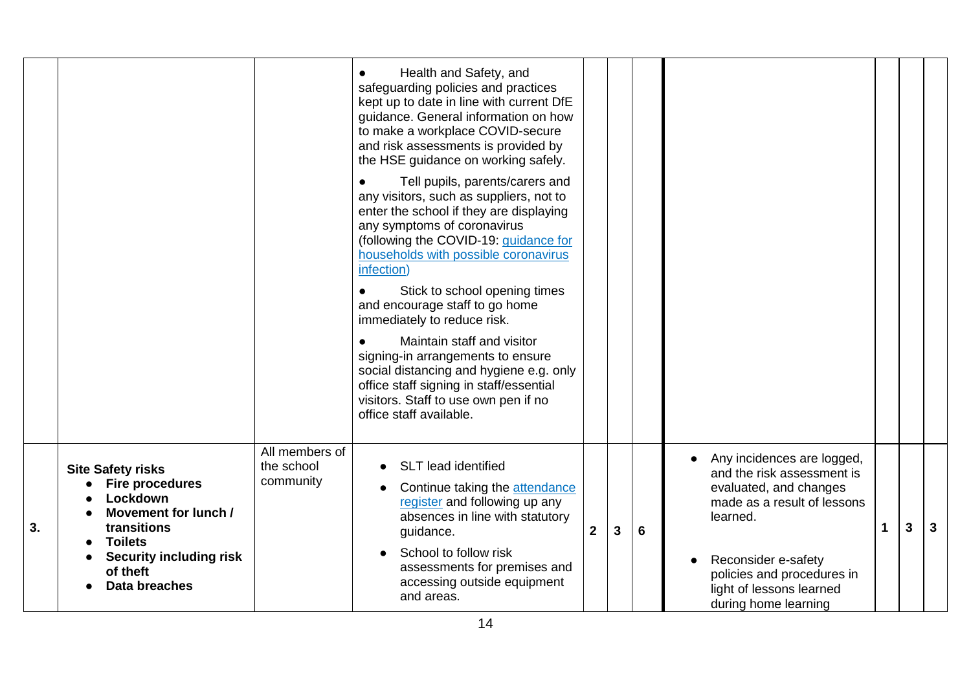|    |                                                                                                                                                                                        |                                           | Health and Safety, and<br>$\bullet$<br>safeguarding policies and practices<br>kept up to date in line with current DfE<br>guidance. General information on how<br>to make a workplace COVID-secure<br>and risk assessments is provided by<br>the HSE guidance on working safely.<br>Tell pupils, parents/carers and<br>any visitors, such as suppliers, not to<br>enter the school if they are displaying<br>any symptoms of coronavirus<br>(following the COVID-19: guidance for<br>households with possible coronavirus<br>infection)<br>Stick to school opening times<br>and encourage staff to go home<br>immediately to reduce risk.<br>Maintain staff and visitor<br>signing-in arrangements to ensure<br>social distancing and hygiene e.g. only<br>office staff signing in staff/essential<br>visitors. Staff to use own pen if no<br>office staff available. |              |              |   |                                                                                                                                                                                                                                        |   |   |   |
|----|----------------------------------------------------------------------------------------------------------------------------------------------------------------------------------------|-------------------------------------------|-----------------------------------------------------------------------------------------------------------------------------------------------------------------------------------------------------------------------------------------------------------------------------------------------------------------------------------------------------------------------------------------------------------------------------------------------------------------------------------------------------------------------------------------------------------------------------------------------------------------------------------------------------------------------------------------------------------------------------------------------------------------------------------------------------------------------------------------------------------------------|--------------|--------------|---|----------------------------------------------------------------------------------------------------------------------------------------------------------------------------------------------------------------------------------------|---|---|---|
| 3. | <b>Site Safety risks</b><br><b>Fire procedures</b><br>Lockdown<br>Movement for lunch /<br>transitions<br><b>Toilets</b><br><b>Security including risk</b><br>of theft<br>Data breaches | All members of<br>the school<br>community | <b>SLT</b> lead identified<br>Continue taking the attendance<br>register and following up any<br>absences in line with statutory<br>guidance.<br>School to follow risk<br>assessments for premises and<br>accessing outside equipment<br>and areas.                                                                                                                                                                                                                                                                                                                                                                                                                                                                                                                                                                                                                   | $\mathbf{2}$ | $\mathbf{3}$ | 6 | Any incidences are logged,<br>and the risk assessment is<br>evaluated, and changes<br>made as a result of lessons<br>learned.<br>Reconsider e-safety<br>policies and procedures in<br>light of lessons learned<br>during home learning | 1 | 3 | 3 |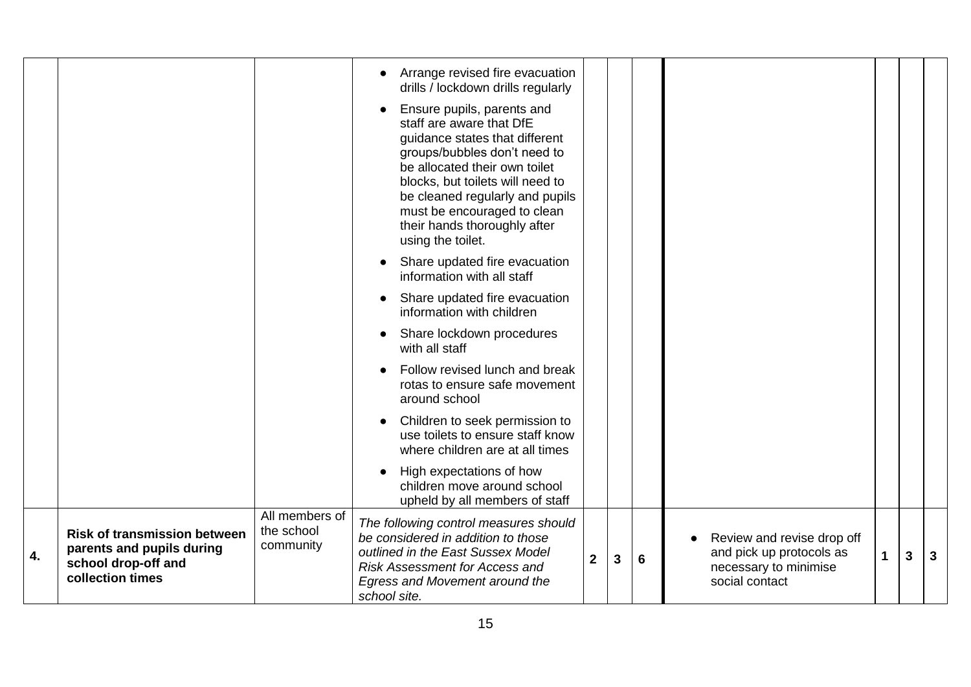|    |                                                                                                             |                                           | Arrange revised fire evacuation<br>drills / lockdown drills regularly<br>Ensure pupils, parents and<br>staff are aware that DfE<br>guidance states that different<br>groups/bubbles don't need to<br>be allocated their own toilet<br>blocks, but toilets will need to<br>be cleaned regularly and pupils<br>must be encouraged to clean<br>their hands thoroughly after<br>using the toilet. |                |              |                 |                                                                                                   |   |   |   |
|----|-------------------------------------------------------------------------------------------------------------|-------------------------------------------|-----------------------------------------------------------------------------------------------------------------------------------------------------------------------------------------------------------------------------------------------------------------------------------------------------------------------------------------------------------------------------------------------|----------------|--------------|-----------------|---------------------------------------------------------------------------------------------------|---|---|---|
|    |                                                                                                             |                                           | Share updated fire evacuation<br>information with all staff                                                                                                                                                                                                                                                                                                                                   |                |              |                 |                                                                                                   |   |   |   |
|    |                                                                                                             |                                           | Share updated fire evacuation<br>information with children                                                                                                                                                                                                                                                                                                                                    |                |              |                 |                                                                                                   |   |   |   |
|    |                                                                                                             |                                           | Share lockdown procedures<br>with all staff                                                                                                                                                                                                                                                                                                                                                   |                |              |                 |                                                                                                   |   |   |   |
|    |                                                                                                             |                                           | Follow revised lunch and break<br>rotas to ensure safe movement<br>around school                                                                                                                                                                                                                                                                                                              |                |              |                 |                                                                                                   |   |   |   |
|    |                                                                                                             |                                           | Children to seek permission to<br>use toilets to ensure staff know<br>where children are at all times                                                                                                                                                                                                                                                                                         |                |              |                 |                                                                                                   |   |   |   |
|    |                                                                                                             |                                           | High expectations of how<br>children move around school<br>upheld by all members of staff                                                                                                                                                                                                                                                                                                     |                |              |                 |                                                                                                   |   |   |   |
| 4. | <b>Risk of transmission between</b><br>parents and pupils during<br>school drop-off and<br>collection times | All members of<br>the school<br>community | The following control measures should<br>be considered in addition to those<br>outlined in the East Sussex Model<br><b>Risk Assessment for Access and</b><br>Egress and Movement around the<br>school site.                                                                                                                                                                                   | $\overline{2}$ | $\mathbf{3}$ | $6\phantom{1}6$ | Review and revise drop off<br>and pick up protocols as<br>necessary to minimise<br>social contact | 1 | 3 | 3 |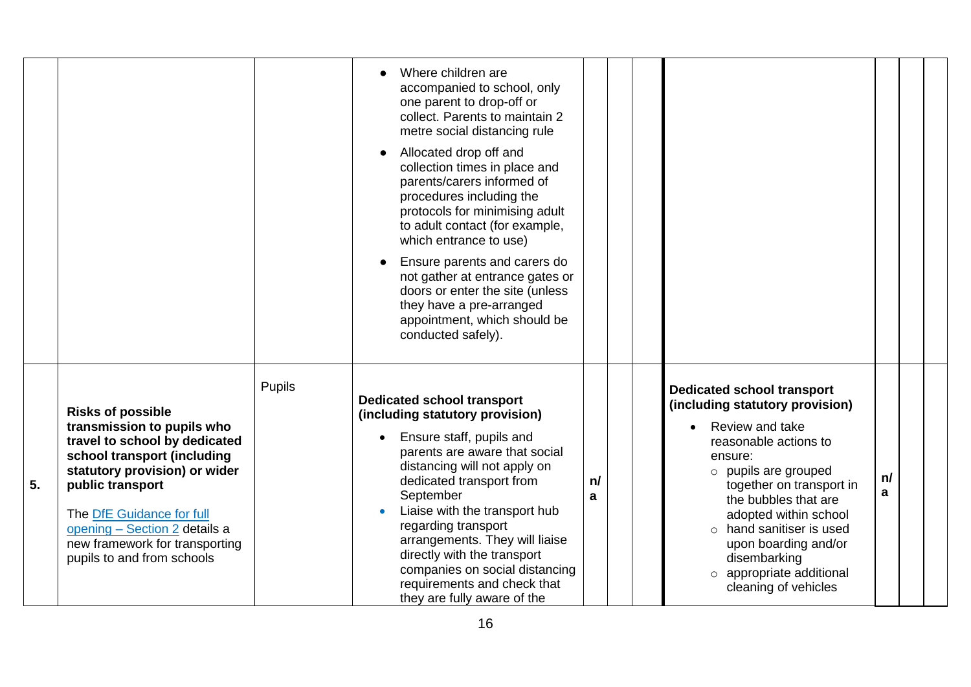|    |                                                                                                                                                                                                                                                                                                           |        | Where children are<br>accompanied to school, only<br>one parent to drop-off or<br>collect. Parents to maintain 2<br>metre social distancing rule<br>Allocated drop off and<br>collection times in place and<br>parents/carers informed of<br>procedures including the<br>protocols for minimising adult<br>to adult contact (for example,<br>which entrance to use)<br>Ensure parents and carers do<br>not gather at entrance gates or<br>doors or enter the site (unless<br>they have a pre-arranged<br>appointment, which should be<br>conducted safely). |         |  |                                                                                                                                                                                                                                                                                                                                                                      |         |  |
|----|-----------------------------------------------------------------------------------------------------------------------------------------------------------------------------------------------------------------------------------------------------------------------------------------------------------|--------|-------------------------------------------------------------------------------------------------------------------------------------------------------------------------------------------------------------------------------------------------------------------------------------------------------------------------------------------------------------------------------------------------------------------------------------------------------------------------------------------------------------------------------------------------------------|---------|--|----------------------------------------------------------------------------------------------------------------------------------------------------------------------------------------------------------------------------------------------------------------------------------------------------------------------------------------------------------------------|---------|--|
| 5. | <b>Risks of possible</b><br>transmission to pupils who<br>travel to school by dedicated<br>school transport (including<br>statutory provision) or wider<br>public transport<br>The DfE Guidance for full<br>opening - Section 2 details a<br>new framework for transporting<br>pupils to and from schools | Pupils | <b>Dedicated school transport</b><br>(including statutory provision)<br>Ensure staff, pupils and<br>parents are aware that social<br>distancing will not apply on<br>dedicated transport from<br>September<br>Liaise with the transport hub<br>regarding transport<br>arrangements. They will liaise<br>directly with the transport<br>companies on social distancing<br>requirements and check that<br>they are fully aware of the                                                                                                                         | n/<br>a |  | <b>Dedicated school transport</b><br>(including statutory provision)<br>Review and take<br>reasonable actions to<br>ensure:<br>$\circ$ pupils are grouped<br>together on transport in<br>the bubbles that are<br>adopted within school<br>$\circ$ hand sanitiser is used<br>upon boarding and/or<br>disembarking<br>o appropriate additional<br>cleaning of vehicles | n/<br>a |  |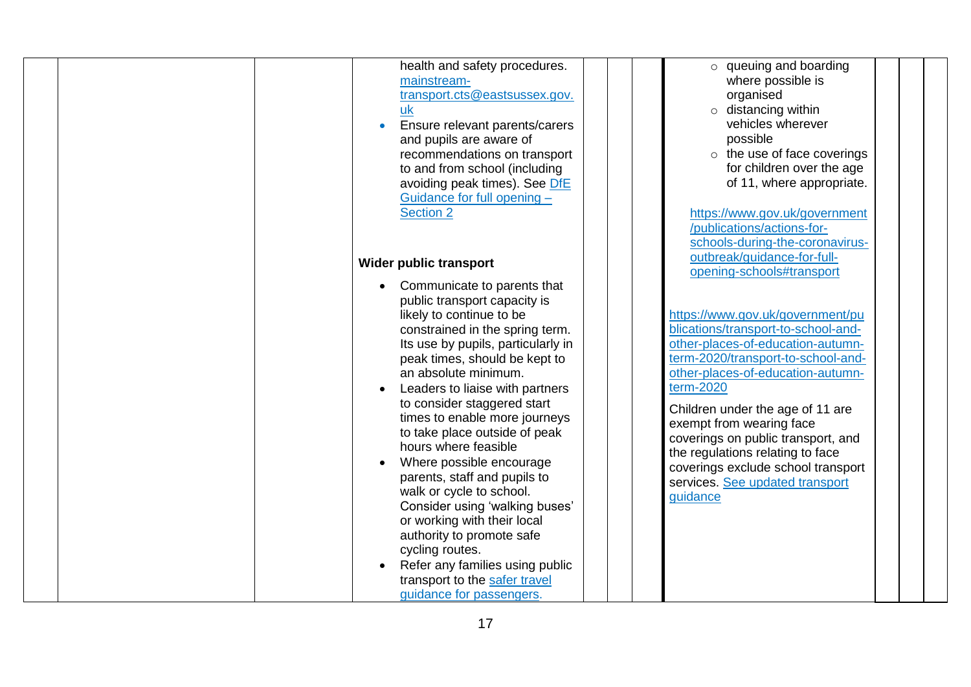|  | health and safety procedures.      | $\circ$ queuing and boarding        |  |
|--|------------------------------------|-------------------------------------|--|
|  | mainstream-                        | where possible is                   |  |
|  | transport.cts@eastsussex.gov.      | organised                           |  |
|  | uk                                 | $\circ$ distancing within           |  |
|  | Ensure relevant parents/carers     | vehicles wherever                   |  |
|  | and pupils are aware of            | possible                            |  |
|  | recommendations on transport       | $\circ$ the use of face coverings   |  |
|  | to and from school (including      | for children over the age           |  |
|  | avoiding peak times). See DfE      | of 11, where appropriate.           |  |
|  | Guidance for full opening -        |                                     |  |
|  | <b>Section 2</b>                   | https://www.gov.uk/government       |  |
|  |                                    | /publications/actions-for-          |  |
|  |                                    | schools-during-the-coronavirus-     |  |
|  |                                    | outbreak/guidance-for-full-         |  |
|  | Wider public transport             | opening-schools#transport           |  |
|  | Communicate to parents that        |                                     |  |
|  |                                    |                                     |  |
|  | public transport capacity is       |                                     |  |
|  | likely to continue to be           | https://www.gov.uk/government/pu    |  |
|  | constrained in the spring term.    | blications/transport-to-school-and- |  |
|  | Its use by pupils, particularly in | other-places-of-education-autumn-   |  |
|  | peak times, should be kept to      | term-2020/transport-to-school-and-  |  |
|  | an absolute minimum.               | other-places-of-education-autumn-   |  |
|  | Leaders to liaise with partners    | term-2020                           |  |
|  | to consider staggered start        | Children under the age of 11 are    |  |
|  | times to enable more journeys      | exempt from wearing face            |  |
|  | to take place outside of peak      | coverings on public transport, and  |  |
|  | hours where feasible               | the regulations relating to face    |  |
|  | Where possible encourage           | coverings exclude school transport  |  |
|  | parents, staff and pupils to       | services. See updated transport     |  |
|  | walk or cycle to school.           | guidance                            |  |
|  | Consider using 'walking buses'     |                                     |  |
|  | or working with their local        |                                     |  |
|  | authority to promote safe          |                                     |  |
|  | cycling routes.                    |                                     |  |
|  | Refer any families using public    |                                     |  |
|  | transport to the safer travel      |                                     |  |
|  | guidance for passengers.           |                                     |  |
|  |                                    |                                     |  |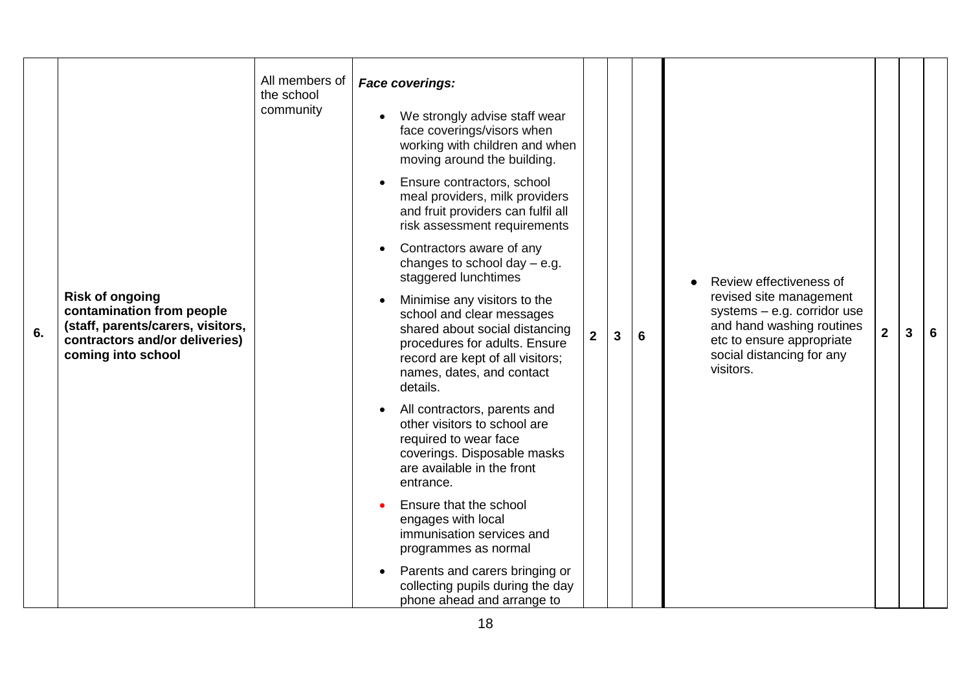| 6. | <b>Risk of ongoing</b><br>contamination from people<br>(staff, parents/carers, visitors,<br>contractors and/or deliveries)<br>coming into school | All members of<br>the school<br>community | <b>Face coverings:</b><br>We strongly advise staff wear<br>face coverings/visors when<br>working with children and when<br>moving around the building.<br>Ensure contractors, school<br>meal providers, milk providers<br>and fruit providers can fulfil all<br>risk assessment requirements<br>Contractors aware of any<br>changes to school day $-$ e.g.<br>staggered lunchtimes<br>Minimise any visitors to the<br>school and clear messages<br>shared about social distancing<br>procedures for adults. Ensure<br>record are kept of all visitors;<br>names, dates, and contact<br>details.<br>All contractors, parents and<br>other visitors to school are<br>required to wear face<br>coverings. Disposable masks | $\mathbf{2}$ | $\mathbf{3}$ | $6\phantom{1}6$ | Review effectiveness of<br>revised site management<br>systems $-$ e.g. corridor use<br>and hand washing routines<br>etc to ensure appropriate<br>social distancing for any<br>visitors. | $\overline{2}$ | 3 | 6 |
|----|--------------------------------------------------------------------------------------------------------------------------------------------------|-------------------------------------------|-------------------------------------------------------------------------------------------------------------------------------------------------------------------------------------------------------------------------------------------------------------------------------------------------------------------------------------------------------------------------------------------------------------------------------------------------------------------------------------------------------------------------------------------------------------------------------------------------------------------------------------------------------------------------------------------------------------------------|--------------|--------------|-----------------|-----------------------------------------------------------------------------------------------------------------------------------------------------------------------------------------|----------------|---|---|
|    |                                                                                                                                                  |                                           | are available in the front<br>entrance.                                                                                                                                                                                                                                                                                                                                                                                                                                                                                                                                                                                                                                                                                 |              |              |                 |                                                                                                                                                                                         |                |   |   |
|    |                                                                                                                                                  |                                           | Ensure that the school<br>engages with local<br>immunisation services and<br>programmes as normal                                                                                                                                                                                                                                                                                                                                                                                                                                                                                                                                                                                                                       |              |              |                 |                                                                                                                                                                                         |                |   |   |
|    |                                                                                                                                                  |                                           | Parents and carers bringing or<br>collecting pupils during the day<br>phone ahead and arrange to                                                                                                                                                                                                                                                                                                                                                                                                                                                                                                                                                                                                                        |              |              |                 |                                                                                                                                                                                         |                |   |   |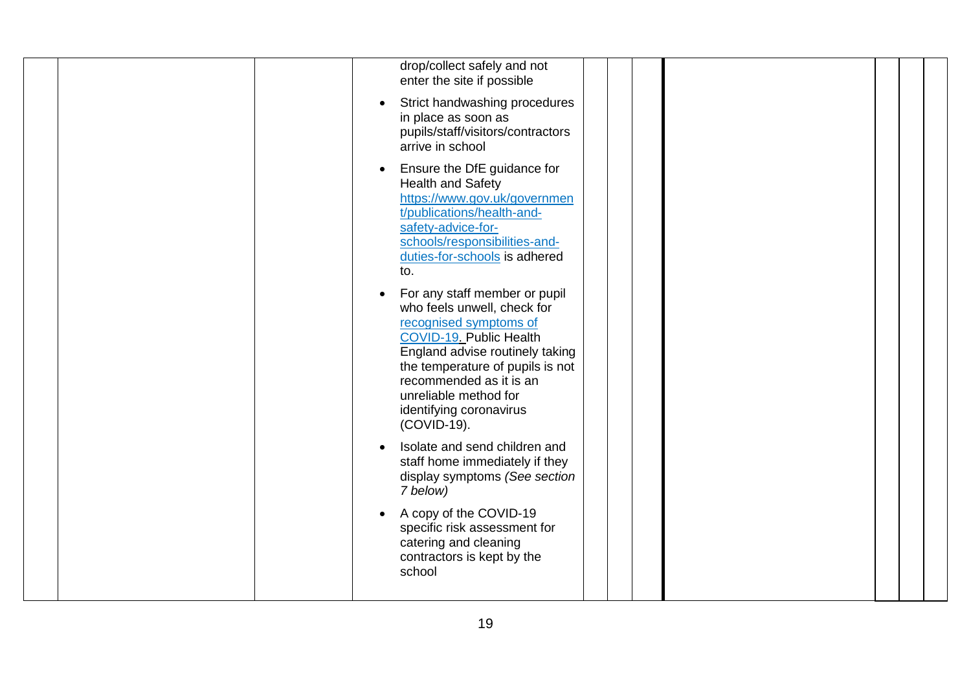| drop/collect safely and not<br>enter the site if possible<br>Strict handwashing procedures<br>in place as soon as<br>pupils/staff/visitors/contractors<br>arrive in school                                                                                                             |
|----------------------------------------------------------------------------------------------------------------------------------------------------------------------------------------------------------------------------------------------------------------------------------------|
| Ensure the DfE guidance for<br><b>Health and Safety</b><br>https://www.gov.uk/governmen<br>t/publications/health-and-<br>safety-advice-for-<br>schools/responsibilities-and-<br>duties-for-schools is adhered<br>to.                                                                   |
| For any staff member or pupil<br>who feels unwell, check for<br>recognised symptoms of<br>COVID-19. Public Health<br>England advise routinely taking<br>the temperature of pupils is not<br>recommended as it is an<br>unreliable method for<br>identifying coronavirus<br>(COVID-19). |
| Isolate and send children and<br>staff home immediately if they<br>display symptoms (See section<br>7 below)                                                                                                                                                                           |
| A copy of the COVID-19<br>$\bullet$<br>specific risk assessment for<br>catering and cleaning<br>contractors is kept by the<br>school                                                                                                                                                   |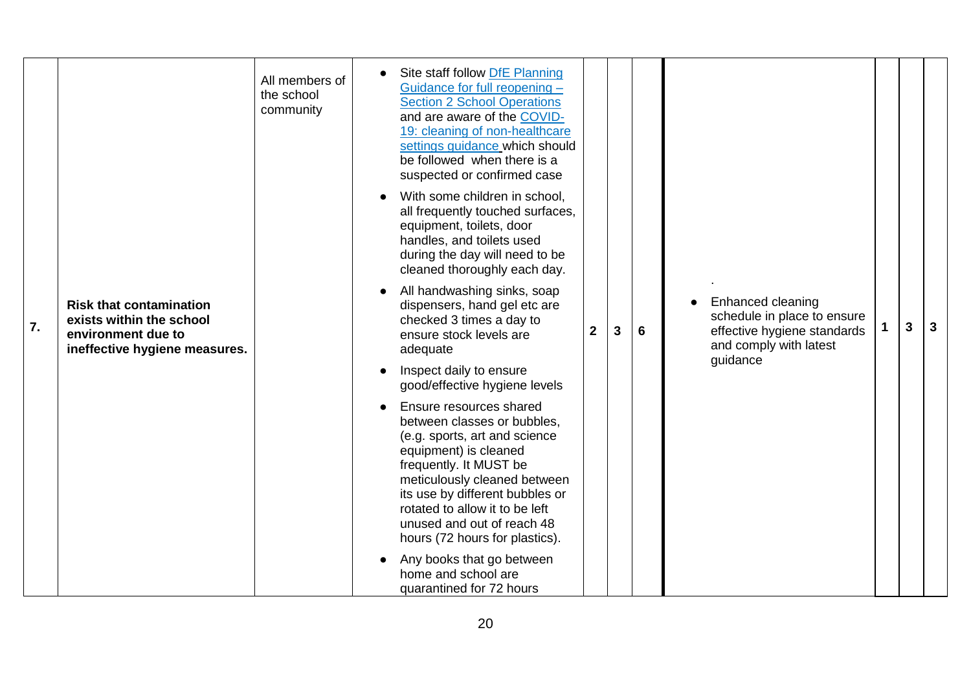|    |                                                                                                                   | All members of<br>the school<br>community | Site staff follow DfE Planning<br>Guidance for full reopening -<br><b>Section 2 School Operations</b><br>and are aware of the COVID-<br>19: cleaning of non-healthcare<br>settings guidance which should<br>be followed when there is a<br>suspected or confirmed case                                          |                |              |   |                                                                                                                       |   |   |
|----|-------------------------------------------------------------------------------------------------------------------|-------------------------------------------|-----------------------------------------------------------------------------------------------------------------------------------------------------------------------------------------------------------------------------------------------------------------------------------------------------------------|----------------|--------------|---|-----------------------------------------------------------------------------------------------------------------------|---|---|
|    |                                                                                                                   |                                           | With some children in school,<br>all frequently touched surfaces,<br>equipment, toilets, door<br>handles, and toilets used<br>during the day will need to be<br>cleaned thoroughly each day.                                                                                                                    |                |              |   |                                                                                                                       |   |   |
| 7. | <b>Risk that contamination</b><br>exists within the school<br>environment due to<br>ineffective hygiene measures. |                                           | All handwashing sinks, soap<br>dispensers, hand gel etc are<br>checked 3 times a day to<br>ensure stock levels are<br>adequate                                                                                                                                                                                  | 2 <sup>1</sup> | $\mathbf{3}$ | 6 | Enhanced cleaning<br>schedule in place to ensure<br>effective hygiene standards<br>and comply with latest<br>guidance | 3 | 3 |
|    |                                                                                                                   |                                           | Inspect daily to ensure<br>good/effective hygiene levels                                                                                                                                                                                                                                                        |                |              |   |                                                                                                                       |   |   |
|    |                                                                                                                   |                                           | Ensure resources shared<br>between classes or bubbles,<br>(e.g. sports, art and science<br>equipment) is cleaned<br>frequently. It MUST be<br>meticulously cleaned between<br>its use by different bubbles or<br>rotated to allow it to be left<br>unused and out of reach 48<br>hours (72 hours for plastics). |                |              |   |                                                                                                                       |   |   |
|    |                                                                                                                   |                                           | Any books that go between<br>home and school are<br>quarantined for 72 hours                                                                                                                                                                                                                                    |                |              |   |                                                                                                                       |   |   |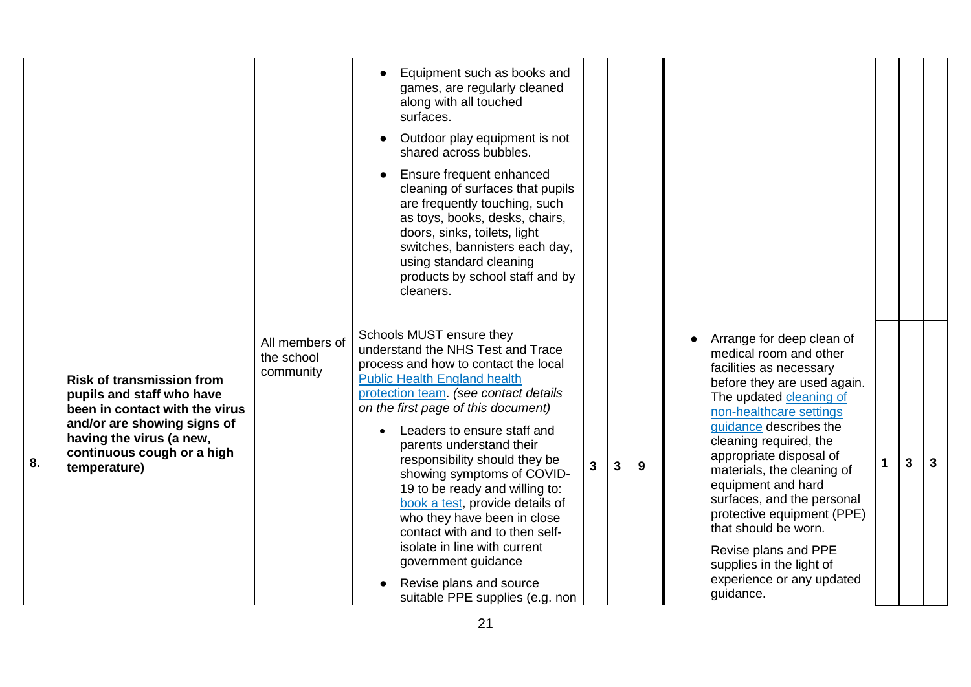|    |                                                                                                                                                                                                          |                                           | Equipment such as books and<br>games, are regularly cleaned<br>along with all touched<br>surfaces.<br>Outdoor play equipment is not<br>shared across bubbles.                                                                                                                                                                                                                                                                                                                                                                                       |   |              |   |                                                                                                                                                                                                                                                                                                                                                                                                                                                |   |   |
|----|----------------------------------------------------------------------------------------------------------------------------------------------------------------------------------------------------------|-------------------------------------------|-----------------------------------------------------------------------------------------------------------------------------------------------------------------------------------------------------------------------------------------------------------------------------------------------------------------------------------------------------------------------------------------------------------------------------------------------------------------------------------------------------------------------------------------------------|---|--------------|---|------------------------------------------------------------------------------------------------------------------------------------------------------------------------------------------------------------------------------------------------------------------------------------------------------------------------------------------------------------------------------------------------------------------------------------------------|---|---|
|    |                                                                                                                                                                                                          |                                           | Ensure frequent enhanced<br>cleaning of surfaces that pupils<br>are frequently touching, such<br>as toys, books, desks, chairs,<br>doors, sinks, toilets, light<br>switches, bannisters each day,<br>using standard cleaning<br>products by school staff and by<br>cleaners.                                                                                                                                                                                                                                                                        |   |              |   |                                                                                                                                                                                                                                                                                                                                                                                                                                                |   |   |
| 8. | <b>Risk of transmission from</b><br>pupils and staff who have<br>been in contact with the virus<br>and/or are showing signs of<br>having the virus (a new,<br>continuous cough or a high<br>temperature) | All members of<br>the school<br>community | Schools MUST ensure they<br>understand the NHS Test and Trace<br>process and how to contact the local<br><b>Public Health England health</b><br>protection team. (see contact details<br>on the first page of this document)<br>Leaders to ensure staff and<br>parents understand their<br>responsibility should they be<br>showing symptoms of COVID-<br>19 to be ready and willing to:<br>book a test, provide details of<br>who they have been in close<br>contact with and to then self-<br>isolate in line with current<br>government guidance | 3 | $\mathbf{3}$ | 9 | Arrange for deep clean of<br>medical room and other<br>facilities as necessary<br>before they are used again.<br>The updated cleaning of<br>non-healthcare settings<br>guidance describes the<br>cleaning required, the<br>appropriate disposal of<br>materials, the cleaning of<br>equipment and hard<br>surfaces, and the personal<br>protective equipment (PPE)<br>that should be worn.<br>Revise plans and PPE<br>supplies in the light of | 3 | 3 |
|    |                                                                                                                                                                                                          |                                           | Revise plans and source<br>suitable PPE supplies (e.g. non                                                                                                                                                                                                                                                                                                                                                                                                                                                                                          |   |              |   | experience or any updated<br>guidance.                                                                                                                                                                                                                                                                                                                                                                                                         |   |   |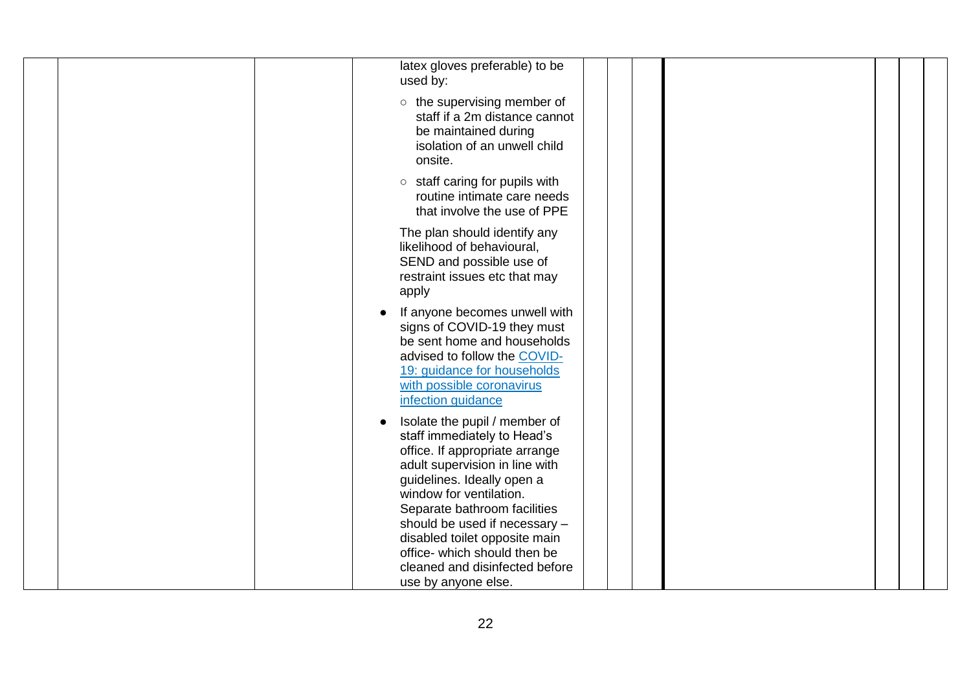| latex gloves preferable) to be<br>used by:                                                                                                                                                                                                                                                  |  |
|---------------------------------------------------------------------------------------------------------------------------------------------------------------------------------------------------------------------------------------------------------------------------------------------|--|
| $\circ$ the supervising member of<br>staff if a 2m distance cannot<br>be maintained during<br>isolation of an unwell child<br>onsite.                                                                                                                                                       |  |
| $\circ$ staff caring for pupils with<br>routine intimate care needs<br>that involve the use of PPE                                                                                                                                                                                          |  |
| The plan should identify any<br>likelihood of behavioural,<br>SEND and possible use of<br>restraint issues etc that may<br>apply                                                                                                                                                            |  |
| If anyone becomes unwell with<br>signs of COVID-19 they must<br>be sent home and households<br>advised to follow the COVID-<br>19: guidance for households<br>with possible coronavirus<br>infection guidance                                                                               |  |
| Isolate the pupil / member of<br>staff immediately to Head's<br>office. If appropriate arrange<br>adult supervision in line with<br>guidelines. Ideally open a<br>window for ventilation.<br>Separate bathroom facilities<br>should be used if necessary -<br>disabled toilet opposite main |  |
| office- which should then be<br>cleaned and disinfected before<br>use by anyone else.                                                                                                                                                                                                       |  |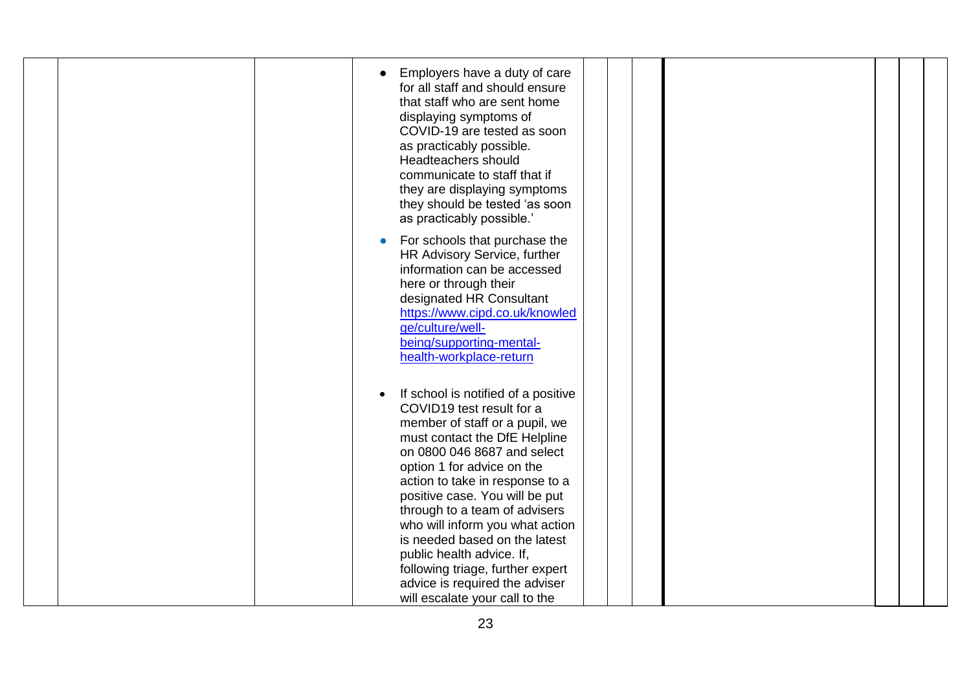| Employers have a duty of care<br>for all staff and should ensure<br>that staff who are sent home<br>displaying symptoms of<br>COVID-19 are tested as soon<br>as practicably possible.<br>Headteachers should<br>communicate to staff that if<br>they are displaying symptoms<br>they should be tested 'as soon<br>as practicably possible.'                                                                                                                                                                     |  |
|-----------------------------------------------------------------------------------------------------------------------------------------------------------------------------------------------------------------------------------------------------------------------------------------------------------------------------------------------------------------------------------------------------------------------------------------------------------------------------------------------------------------|--|
| For schools that purchase the<br>HR Advisory Service, further<br>information can be accessed<br>here or through their<br>designated HR Consultant<br>https://www.cipd.co.uk/knowled<br>ge/culture/well-<br>being/supporting-mental-<br>health-workplace-return                                                                                                                                                                                                                                                  |  |
| If school is notified of a positive<br>COVID19 test result for a<br>member of staff or a pupil, we<br>must contact the DfE Helpline<br>on 0800 046 8687 and select<br>option 1 for advice on the<br>action to take in response to a<br>positive case. You will be put<br>through to a team of advisers<br>who will inform you what action<br>is needed based on the latest<br>public health advice. If,<br>following triage, further expert<br>advice is required the adviser<br>will escalate your call to the |  |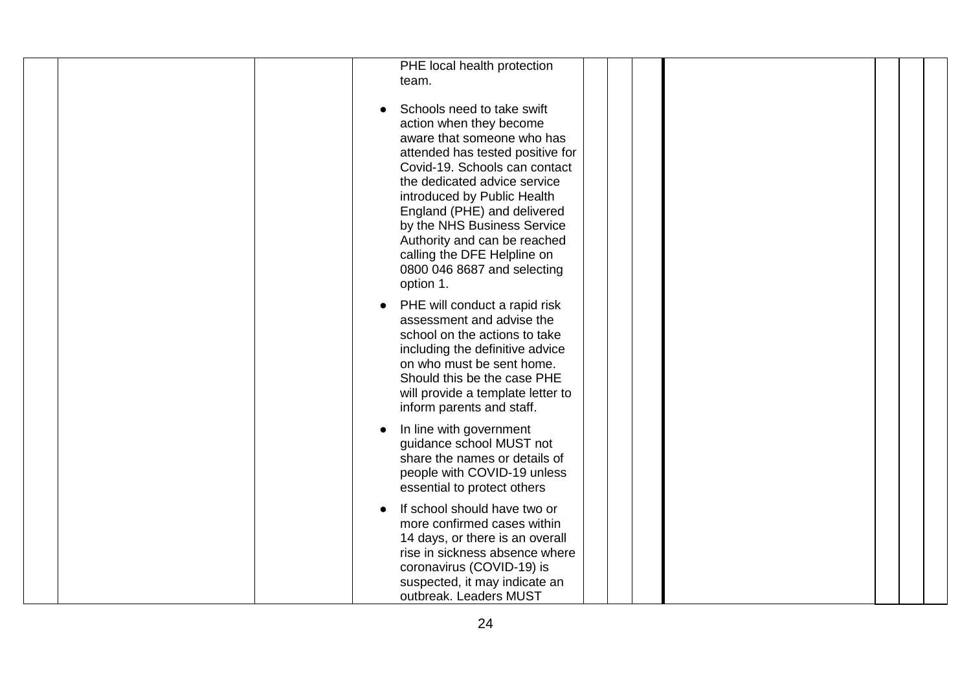| PHE local health protection<br>team.                                                                                                                                                                                                                                                                                                                                                             |
|--------------------------------------------------------------------------------------------------------------------------------------------------------------------------------------------------------------------------------------------------------------------------------------------------------------------------------------------------------------------------------------------------|
| Schools need to take swift<br>action when they become<br>aware that someone who has<br>attended has tested positive for<br>Covid-19. Schools can contact<br>the dedicated advice service<br>introduced by Public Health<br>England (PHE) and delivered<br>by the NHS Business Service<br>Authority and can be reached<br>calling the DFE Helpline on<br>0800 046 8687 and selecting<br>option 1. |
| PHE will conduct a rapid risk<br>assessment and advise the<br>school on the actions to take<br>including the definitive advice<br>on who must be sent home.<br>Should this be the case PHE<br>will provide a template letter to<br>inform parents and staff.                                                                                                                                     |
| In line with government<br>guidance school MUST not<br>share the names or details of<br>people with COVID-19 unless<br>essential to protect others                                                                                                                                                                                                                                               |
| If school should have two or<br>more confirmed cases within<br>14 days, or there is an overall<br>rise in sickness absence where<br>coronavirus (COVID-19) is<br>suspected, it may indicate an<br>outbreak. Leaders MUST                                                                                                                                                                         |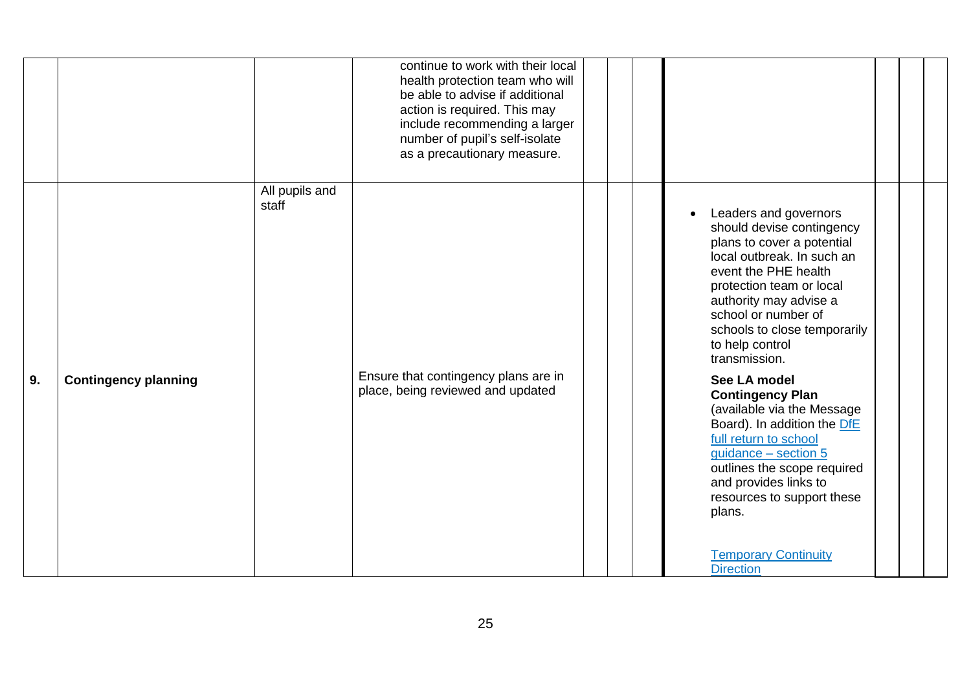|    |                             |                         | continue to work with their local<br>health protection team who will<br>be able to advise if additional<br>action is required. This may<br>include recommending a larger<br>number of pupil's self-isolate<br>as a precautionary measure. |  |                                                                                                                                                                                                                                                                                                                                                                                                                                                                                                                                                                                                       |  |  |
|----|-----------------------------|-------------------------|-------------------------------------------------------------------------------------------------------------------------------------------------------------------------------------------------------------------------------------------|--|-------------------------------------------------------------------------------------------------------------------------------------------------------------------------------------------------------------------------------------------------------------------------------------------------------------------------------------------------------------------------------------------------------------------------------------------------------------------------------------------------------------------------------------------------------------------------------------------------------|--|--|
| 9. | <b>Contingency planning</b> | All pupils and<br>staff | Ensure that contingency plans are in<br>place, being reviewed and updated                                                                                                                                                                 |  | Leaders and governors<br>should devise contingency<br>plans to cover a potential<br>local outbreak. In such an<br>event the PHE health<br>protection team or local<br>authority may advise a<br>school or number of<br>schools to close temporarily<br>to help control<br>transmission.<br>See LA model<br><b>Contingency Plan</b><br>(available via the Message<br>Board). In addition the DfE<br>full return to school<br>$guidance - section 5$<br>outlines the scope required<br>and provides links to<br>resources to support these<br>plans.<br><b>Temporary Continuity</b><br><b>Direction</b> |  |  |